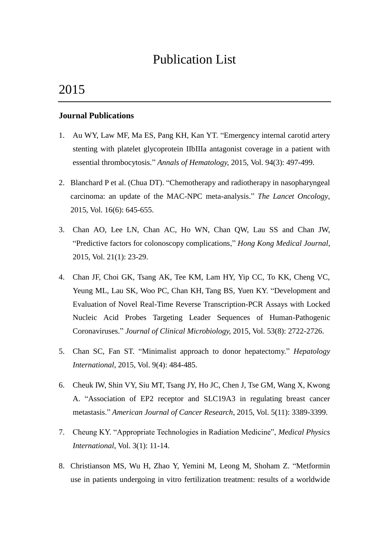# Publication List

# 2015

#### **Journal Publications**

- 1. Au WY, Law MF, Ma ES, Pang KH, Kan YT. "Emergency internal carotid artery stenting with platelet glycoprotein IIbIIIa antagonist coverage in a patient with essential thrombocytosis." *Annals of Hematology,* 2015*,* Vol. 94(3): 497-499.
- 2. Blanchard P et al. (Chua DT). "Chemotherapy and radiotherapy in nasopharyngeal carcinoma: an update of the MAC-NPC meta-analysis." *The Lancet Oncology*, 2015, Vol. 16(6): 645-655.
- 3. Chan AO, Lee LN, Chan AC, Ho WN, Chan QW, Lau SS and Chan JW, "Predictive factors for colonoscopy complications," *Hong Kong Medical Journal,*  2015*,* Vol. 21(1): 23-29.
- 4. Chan JF, Choi GK, Tsang AK, Tee KM, Lam HY, Yip CC, To KK, Cheng VC, Yeung ML, Lau SK, Woo PC, Chan KH, Tang BS, Yuen KY. "Development and Evaluation of Novel Real-Time Reverse Transcription-PCR Assays with Locked Nucleic Acid Probes Targeting Leader Sequences of Human-Pathogenic Coronaviruses." *Journal of Clinical Microbiology,* 2015, Vol. 53(8): 2722-2726.
- 5. Chan SC, Fan ST. "Minimalist approach to donor hepatectomy." *Hepatology International*, 2015, Vol. 9(4): 484-485.
- 6. Cheuk IW, Shin VY, Siu MT, Tsang JY, Ho JC, Chen J, Tse GM, Wang X, Kwong A. "Association of EP2 receptor and SLC19A3 in regulating breast cancer metastasis." *American Journal of Cancer Research*, 2015, Vol. 5(11): 3389-3399.
- 7. Cheung KY. "Appropriate Technologies in Radiation Medicine", *Medical Physics International*, Vol. 3(1): 11-14.
- 8. Christianson MS, Wu H, Zhao Y, Yemini M, Leong M, Shoham Z. "Metformin use in patients undergoing in vitro fertilization treatment: results of a worldwide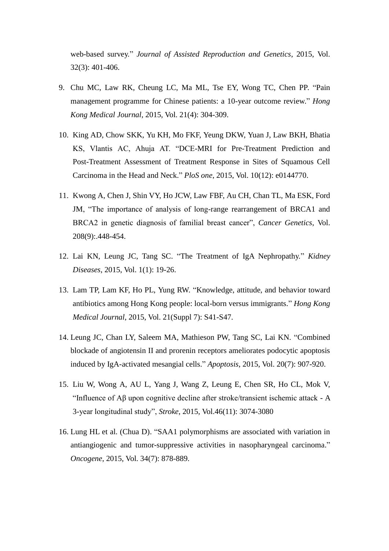web-based survey." *Journal of Assisted Reproduction and Genetics*, 2015, Vol. 32(3): 401-406.

- 9. Chu MC, Law RK, Cheung LC, Ma ML, Tse EY, Wong TC, Chen PP. "Pain management programme for Chinese patients: a 10-year outcome review." *Hong Kong Medical Journal*, 2015, Vol. 21(4): 304-309.
- 10. King AD, Chow SKK, Yu KH, Mo FKF, Yeung DKW, Yuan J, Law BKH, Bhatia KS, Vlantis AC, Ahuja AT. "DCE-MRI for Pre-Treatment Prediction and Post-Treatment Assessment of Treatment Response in Sites of Squamous Cell Carcinoma in the Head and Neck." *PloS one*, 2015, Vol. 10(12): e0144770.
- 11. Kwong A, Chen J, Shin VY, Ho JCW, Law FBF, Au CH, Chan TL, Ma ESK, Ford JM, "The importance of analysis of long-range rearrangement of BRCA1 and BRCA2 in genetic diagnosis of familial breast cancer", *Cancer Genetics*, Vol. 208(9):.448-454.
- 12. Lai KN, Leung JC, Tang SC. "The Treatment of IgA Nephropathy." *Kidney Diseases*, 2015, Vol. 1(1): 19-26.
- 13. Lam TP, Lam KF, Ho PL, Yung RW. "Knowledge, attitude, and behavior toward antibiotics among Hong Kong people: local-born versus immigrants." *Hong Kong Medical Journal*, 2015, Vol. 21(Suppl 7): S41-S47.
- 14. Leung JC, Chan LY, Saleem MA, Mathieson PW, Tang SC, Lai KN. "Combined blockade of angiotensin II and prorenin receptors ameliorates podocytic apoptosis induced by IgA-activated mesangial cells." *Apoptosis*, 2015, Vol. 20(7): 907-920.
- 15. Liu W, Wong A, AU L, Yang J, Wang Z, Leung E, Chen SR, Ho CL, Mok V, "Influence of Aβ upon cognitive decline after stroke/transient ischemic attack - A 3-year longitudinal study", *Stroke*, 2015, Vol.46(11): 3074-3080
- 16. Lung HL et al. (Chua D). "SAA1 polymorphisms are associated with variation in antiangiogenic and tumor-suppressive activities in nasopharyngeal carcinoma." *Oncogene*, 2015, Vol. 34(7): 878-889.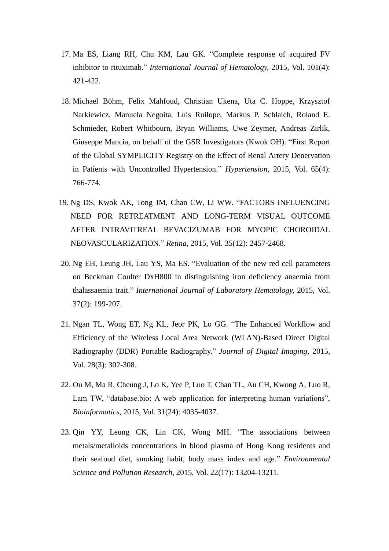- 17. Ma ES, Liang RH, Chu KM, Lau GK. "Complete response of acquired FV inhibitor to rituximab." *International Journal of Hematology,* 2015*,* Vol. 101(4): 421-422.
- 18. Michael Böhm, Felix Mahfoud, Christian Ukena, Uta C. Hoppe, Krzysztof Narkiewicz, Manuela Negoita, Luis Ruilope, Markus P. Schlaich, Roland E. Schmieder, Robert Whitbourn, Bryan Williams, Uwe Zeymer, Andreas Zirlik, Giuseppe Mancia, on behalf of the GSR Investigators (Kwok OH). "First Report of the Global SYMPLICITY Registry on the Effect of Renal Artery Denervation in Patients with Uncontrolled Hypertension." *Hypertension,* 2015, Vol. 65(4): 766-774.
- 19. Ng DS, Kwok AK, Tong JM, Chan CW, Li WW. "FACTORS INFLUENCING NEED FOR RETREATMENT AND LONG-TERM VISUAL OUTCOME AFTER INTRAVITREAL BEVACIZUMAB FOR MYOPIC CHOROIDAL NEOVASCULARIZATION." *Retina*, 2015, Vol. 35(12): 2457-2468.
- 20. Ng EH, Leung JH, Lau YS, Ma ES. "Evaluation of the new red cell parameters on Beckman Coulter DxH800 in distinguishing iron deficiency anaemia from thalassaemia trait." *International Journal of Laboratory Hematology,* 2015, Vol. 37(2): 199-207.
- 21. Ngan TL, Wong ET, Ng KL, Jeor PK, Lo GG. "The Enhanced Workflow and Efficiency of the Wireless Local Area Network (WLAN)-Based Direct Digital Radiography (DDR) Portable Radiography." *Journal of Digital Imaging,* 2015, Vol. 28(3): 302-308.
- 22. Ou M, Ma R, Cheung J, Lo K, Yee P, Luo T, Chan TL, Au CH, Kwong A, Luo R, Lam TW, "database.bio: A web application for interpreting human variations", *Bioinformatics*, 2015, Vol. 31(24): 4035-4037.
- 23. Qin YY, Leung CK, Lin CK, Wong MH. "The associations between metals/metalloids concentrations in blood plasma of Hong Kong residents and their seafood diet, smoking habit, body mass index and age." *Environmental Science and Pollution Research*, 2015, Vol. 22(17): 13204-13211.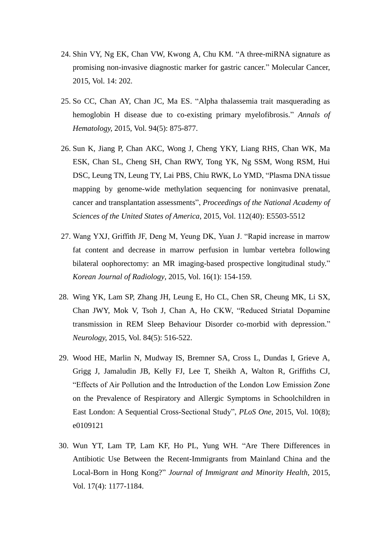- 24. Shin VY, Ng EK, Chan VW, Kwong A, Chu KM. "A three-miRNA signature as promising non-invasive diagnostic marker for gastric cancer." Molecular Cancer, 2015, Vol. 14: 202.
- 25. So CC, Chan AY, Chan JC, Ma ES. "Alpha thalassemia trait masquerading as hemoglobin H disease due to co-existing primary myelofibrosis." *Annals of Hematology,* 2015*,* Vol. 94(5): 875-877.
- 26. Sun K, Jiang P, Chan AKC, Wong J, Cheng YKY, Liang RHS, Chan WK, Ma ESK, Chan SL, Cheng SH, Chan RWY, Tong YK, Ng SSM, Wong RSM, Hui DSC, Leung TN, Leung TY, Lai PBS, Chiu RWK, Lo YMD, "Plasma DNA tissue mapping by genome-wide methylation sequencing for noninvasive prenatal, cancer and transplantation assessments", *Proceedings of the National Academy of Sciences of the United States of America*, 2015, Vol. 112(40): E5503-5512
- 27. Wang YXJ, Griffith JF, Deng M, Yeung DK, Yuan J. "Rapid increase in marrow fat content and decrease in marrow perfusion in lumbar vertebra following bilateral oophorectomy: an MR imaging-based prospective longitudinal study." *Korean Journal of Radiology*, 2015, Vol. 16(1): 154-159.
- 28. Wing YK, Lam SP, Zhang JH, Leung E, Ho CL, Chen SR, Cheung MK, Li SX, Chan JWY, Mok V, Tsoh J, Chan A, Ho CKW, "Reduced Striatal Dopamine transmission in REM Sleep Behaviour Disorder co-morbid with depression." *Neurology,* 2015, Vol. 84(5): 516-522.
- 29. Wood HE, Marlin N, Mudway IS, Bremner SA, Cross L, Dundas I, Grieve A, Grigg J, Jamaludin JB, Kelly FJ, Lee T, Sheikh A, Walton R, Griffiths CJ, "Effects of Air Pollution and the Introduction of the London Low Emission Zone on the Prevalence of Respiratory and Allergic Symptoms in Schoolchildren in East London: A Sequential Cross-Sectional Study", *PLoS One*, 2015, Vol. 10(8); e0109121
- 30. Wun YT, Lam TP, Lam KF, Ho PL, Yung WH. "Are There Differences in Antibiotic Use Between the Recent-Immigrants from Mainland China and the Local-Born in Hong Kong?" *Journal of Immigrant and Minority Health*, 2015, Vol. 17(4): 1177-1184.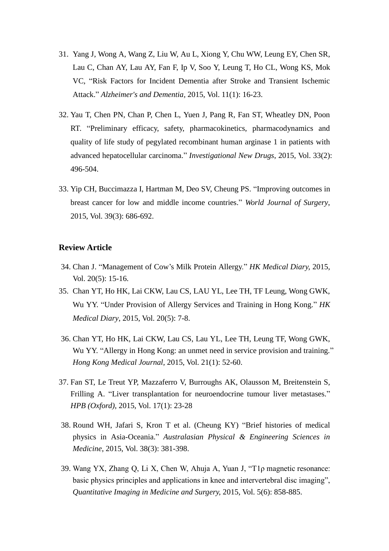- 31. Yang J, Wong A, Wang Z, Liu W, Au L, Xiong Y, Chu WW, Leung EY, Chen SR, Lau C, Chan AY, Lau AY, Fan F, Ip V, Soo Y, Leung T, Ho CL, Wong KS, Mok VC, "Risk Factors for Incident Dementia after Stroke and Transient Ischemic Attack." *Alzheimer's and Dementia,* 2015, Vol. 11(1): 16-23.
- 32. Yau T, Chen PN, Chan P, Chen L, Yuen J, Pang R, Fan ST, Wheatley DN, Poon RT. "Preliminary efficacy, safety, pharmacokinetics, pharmacodynamics and quality of life study of pegylated recombinant human arginase 1 in patients with advanced hepatocellular carcinoma." *Investigational New Drugs*, 2015, Vol. 33(2): 496-504.
- 33. Yip CH, Buccimazza I, Hartman M, Deo SV, Cheung PS. "Improving outcomes in breast cancer for low and middle income countries." *World Journal of Surgery*, 2015, Vol. 39(3): 686-692.

#### **Review Article**

- 34. Chan J. "Management of Cow's Milk Protein Allergy." *HK Medical Diary,* 2015, Vol. 20(5): 15-16.
- 35. Chan YT, Ho HK, Lai CKW, Lau CS, LAU YL, Lee TH, TF Leung, Wong GWK, Wu YY. "Under Provision of Allergy Services and Training in Hong Kong." *HK Medical Diary*, 2015, Vol. 20(5): 7-8.
- 36. Chan YT, Ho HK, Lai CKW, Lau CS, Lau YL, Lee TH, Leung TF, Wong GWK, Wu YY. "Allergy in Hong Kong: an unmet need in service provision and training." *Hong Kong Medical Journal,* 2015, Vol. 21(1): 52-60.
- 37. Fan ST, Le Treut YP, Mazzaferro V, Burroughs AK, Olausson M, Breitenstein S, Frilling A. "Liver transplantation for neuroendocrine tumour liver metastases." *HPB (Oxford)*, 2015, Vol. 17(1): 23-28
- 38. Round WH, Jafari S, Kron T et al. (Cheung KY) "Brief histories of medical physics in Asia-Oceania." *Australasian Physical & Engineering Sciences in Medicine*, 2015, Vol. 38(3): 381-398.
- 39. Wang YX, Zhang Q, Li X, Chen W, Ahuja A, Yuan J, "T1ρ magnetic resonance: basic physics principles and applications in knee and intervertebral disc imaging", *Quantitative Imaging in Medicine and Surgery,* 2015, Vol. 5(6): 858-885.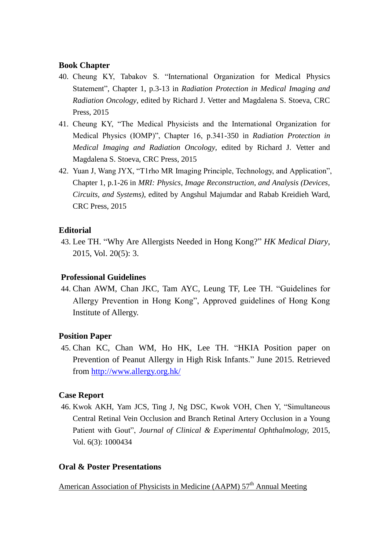## **Book Chapter**

- 40. Cheung KY, Tabakov S. "International Organization for Medical Physics Statement", Chapter 1, p.3-13 in *Radiation Protection in Medical Imaging and Radiation Oncology*, edited by Richard J. Vetter and Magdalena S. Stoeva, CRC Press, 2015
- 41. Cheung KY, "The Medical Physicists and the International Organization for Medical Physics (IOMP)", Chapter 16, p.341-350 in *Radiation Protection in Medical Imaging and Radiation Oncology*, edited by Richard J. Vetter and Magdalena S. Stoeva, CRC Press, 2015
- 42. Yuan J, Wang JYX, "T1rho MR Imaging Principle, Technology, and Application", Chapter 1, p.1-26 in *MRI: Physics, Image Reconstruction, and Analysis (Devices, Circuits, and Systems)*, edited by Angshul Majumdar and Rabab Kreidieh Ward, CRC Press, 2015

## **Editorial**

43. Lee TH. "Why Are Allergists Needed in Hong Kong?" *HK Medical Diary*, 2015, Vol. 20(5): 3.

## **Professional Guidelines**

44. Chan AWM, Chan JKC, Tam AYC, Leung TF, Lee TH. "Guidelines for Allergy Prevention in Hong Kong", Approved guidelines of Hong Kong Institute of Allergy.

## **Position Paper**

45. Chan KC, Chan WM, Ho HK, Lee TH. "HKIA Position paper on Prevention of Peanut Allergy in High Risk Infants." June 2015. Retrieved from<http://www.allergy.org.hk/>

## **Case Report**

46. Kwok AKH, Yam JCS, Ting J, Ng DSC, Kwok VOH, Chen Y, "Simultaneous Central Retinal Vein Occlusion and Branch Retinal Artery Occlusion in a Young Patient with Gout", *Journal of Clinical & Experimental Ophthalmology,* 2015, Vol. 6(3): 1000434

## **Oral & Poster Presentations**

American Association of Physicists in Medicine (AAPM)  $57<sup>th</sup>$  Annual Meeting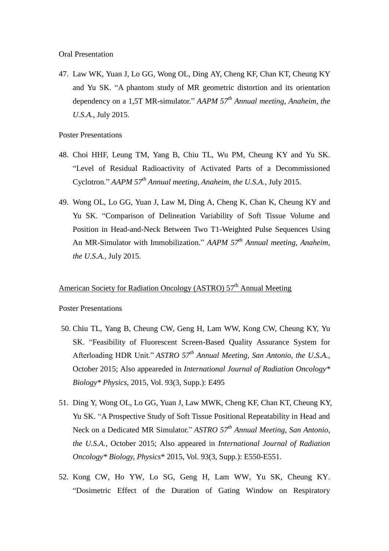Oral Presentation

47. Law WK, Yuan J, Lo GG, Wong OL, Ding AY, Cheng KF, Chan KT, Cheung KY and Yu SK. "A phantom study of MR geometric distortion and its orientation dependency on a 1,5T MR-simulator." *AAPM 57th Annual meeting, Anaheim, the U.S.A.,* July 2015.

Poster Presentations

- 48. Choi HHF, Leung TM, Yang B, Chiu TL, Wu PM, Cheung KY and Yu SK. "Level of Residual Radioactivity of Activated Parts of a Decommissioned Cyclotron." *AAPM 57th Annual meeting, Anaheim, the U.S.A.,* July 2015.
- 49. Wong OL, Lo GG, Yuan J, Law M, Ding A, Cheng K, Chan K, Cheung KY and Yu SK. "Comparison of Delineation Variability of Soft Tissue Volume and Position in Head-and-Neck Between Two T1-Weighted Pulse Sequences Using An MR-Simulator with Immobilization." *AAPM 57th Annual meeting, Anaheim, the U.S.A.,* July 2015.

## American Society for Radiation Oncology (ASTRO) 57<sup>th</sup> Annual Meeting

#### Poster Presentations

- 50. Chiu TL, Yang B, Cheung CW, Geng H, Lam WW, Kong CW, Cheung KY, Yu SK. "Feasibility of Fluorescent Screen-Based Quality Assurance System for Afterloading HDR Unit." *ASTRO 57th Annual Meeting, San Antonio, the U.S.A.*, October 2015; Also appeareded in *International Journal of Radiation Oncology\* Biology\* Physics*, 2015, Vol. 93(3, Supp.): E495
- 51. Ding Y, Wong OL, Lo GG, Yuan J, Law MWK, Cheng KF, Chan KT, Cheung KY, Yu SK. "A Prospective Study of Soft Tissue Positional Repeatability in Head and Neck on a Dedicated MR Simulator." *ASTRO 57th Annual Meeting, San Antonio, the U.S.A.*, October 2015; Also appeared in *International Journal of Radiation Oncology\* Biology, Physics*\* 2015, Vol. 93(3, Supp.): E550-E551.
- 52. Kong CW, Ho YW, Lo SG, Geng H, Lam WW, Yu SK, Cheung KY. "Dosimetric Effect of the Duration of Gating Window on Respiratory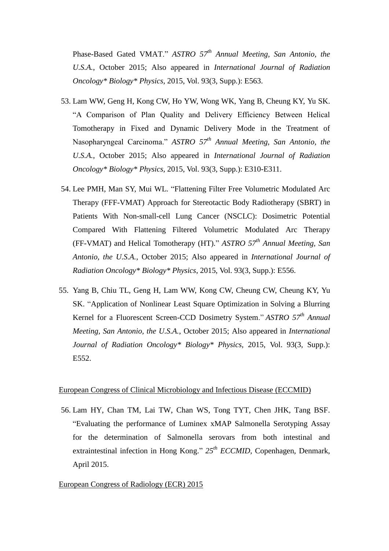Phase-Based Gated VMAT." *ASTRO 57th Annual Meeting, San Antonio, the U.S.A.*, October 2015; Also appeared in *International Journal of Radiation Oncology\* Biology\* Physics*, 2015, Vol. 93(3, Supp.): E563.

- 53. Lam WW, Geng H, Kong CW, Ho YW, Wong WK, Yang B, Cheung KY, Yu SK. "A Comparison of Plan Quality and Delivery Efficiency Between Helical Tomotherapy in Fixed and Dynamic Delivery Mode in the Treatment of Nasopharyngeal Carcinoma." *ASTRO 57th Annual Meeting, San Antonio, the U.S.A.*, October 2015; Also appeared in *International Journal of Radiation Oncology\* Biology\* Physics*, 2015, Vol. 93(3, Supp.): E310-E311.
- 54. Lee PMH, Man SY, Mui WL. "Flattening Filter Free Volumetric Modulated Arc Therapy (FFF-VMAT) Approach for Stereotactic Body Radiotherapy (SBRT) in Patients With Non-small-cell Lung Cancer (NSCLC): Dosimetric Potential Compared With Flattening Filtered Volumetric Modulated Arc Therapy (FF-VMAT) and Helical Tomotherapy (HT)." *ASTRO 57th Annual Meeting, San Antonio, the U.S.A.*, October 2015; Also appeared in *International Journal of Radiation Oncology\* Biology\* Physics*, 2015, Vol. 93(3, Supp.): E556.
- 55. Yang B, Chiu TL, Geng H, Lam WW, Kong CW, Cheung CW, Cheung KY, Yu SK. "Application of Nonlinear Least Square Optimization in Solving a Blurring Kernel for a Fluorescent Screen-CCD Dosimetry System." *ASTRO 57th Annual Meeting, San Antonio, the U.S.A.*, October 2015; Also appeared in *International Journal of Radiation Oncology\* Biology\* Physics*, 2015, Vol. 93(3, Supp.): E552.

#### European Congress of Clinical Microbiology and Infectious Disease (ECCMID)

56. Lam HY, Chan TM, Lai TW, Chan WS, Tong TYT, Chen JHK, Tang BSF. "Evaluating the performance of Luminex xMAP Salmonella Serotyping Assay for the determination of Salmonella serovars from both intestinal and extraintestinal infection in Hong Kong." *25th ECCMID*, Copenhagen, Denmark, April 2015.

#### European Congress of Radiology (ECR) 2015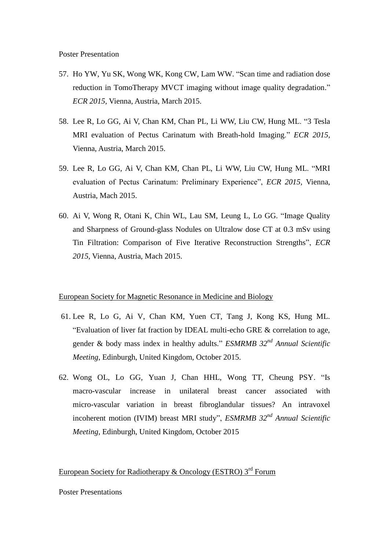- 57. Ho YW, Yu SK, Wong WK, Kong CW, Lam WW. "Scan time and radiation dose reduction in TomoTherapy MVCT imaging without image quality degradation." *ECR 2015,* Vienna, Austria, March 2015.
- 58. Lee R, Lo GG, Ai V, Chan KM, Chan PL, Li WW, Liu CW, Hung ML. "3 Tesla MRI evaluation of Pectus Carinatum with Breath-hold Imaging." *ECR 2015,* Vienna, Austria, March 2015.
- 59. Lee R, Lo GG, Ai V, Chan KM, Chan PL, Li WW, Liu CW, Hung ML. "MRI evaluation of Pectus Carinatum: Preliminary Experience", *ECR 2015,* Vienna, Austria, Mach 2015.
- 60. Ai V, Wong R, Otani K, Chin WL, Lau SM, Leung L, Lo GG. "Image Quality and Sharpness of Ground-glass Nodules on Ultralow dose CT at 0.3 mSv using Tin Filtration: Comparison of Five Iterative Reconstruction Strengths", *ECR 2015,* Vienna, Austria, Mach 2015.

#### European Society for Magnetic Resonance in Medicine and Biology

- 61. Lee R, Lo G, Ai V, Chan KM, Yuen CT, Tang J, Kong KS, Hung ML. "Evaluation of liver fat fraction by IDEAL multi-echo GRE & correlation to age, gender & body mass index in healthy adults." *ESMRMB 32nd Annual Scientific Meeting*, Edinburgh, United Kingdom, October 2015.
- 62. Wong OL, Lo GG, Yuan J, Chan HHL, Wong TT, Cheung PSY. "Is macro-vascular increase in unilateral breast cancer associated with micro-vascular variation in breast fibroglandular tissues? An intravoxel incoherent motion (IVIM) breast MRI study", *ESMRMB 32nd Annual Scientific Meeting*, Edinburgh, United Kingdom, October 2015

#### European Society for Radiotherapy & Oncology (ESTRO)  $3<sup>rd</sup>$  Forum

#### Poster Presentations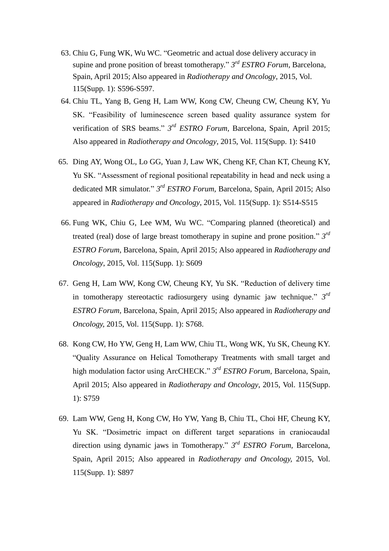- 63. Chiu G, Fung WK, Wu WC. "Geometric and actual dose delivery accuracy in supine and prone position of breast tomotherapy." *3 rd ESTRO Forum,* Barcelona, Spain, April 2015; Also appeared in *Radiotherapy and Oncology*, 2015, Vol. 115(Supp. 1): S596-S597.
- 64. Chiu TL, Yang B, Geng H, Lam WW, Kong CW, Cheung CW, Cheung KY, Yu SK. "Feasibility of luminescence screen based quality assurance system for verification of SRS beams." *3 rd ESTRO Forum,* Barcelona, Spain, April 2015; Also appeared in *Radiotherapy and Oncology*, 2015, Vol. 115(Supp. 1): S410
- 65. Ding AY, Wong OL, Lo GG, Yuan J, Law WK, Cheng KF, Chan KT, Cheung KY, Yu SK. "Assessment of regional positional repeatability in head and neck using a dedicated MR simulator." *3 rd ESTRO Forum,* Barcelona, Spain, April 2015; Also appeared in *Radiotherapy and Oncology*, 2015, Vol. 115(Supp. 1): S514-S515
- 66. Fung WK, Chiu G, Lee WM, Wu WC. "Comparing planned (theoretical) and treated (real) dose of large breast tomotherapy in supine and prone position." *3 rd ESTRO Forum*, Barcelona, Spain, April 2015; Also appeared in *Radiotherapy and Oncology*, 2015, Vol. 115(Supp. 1): S609
- 67. Geng H, Lam WW, Kong CW, Cheung KY, Yu SK. "Reduction of delivery time in tomotherapy stereotactic radiosurgery using dynamic jaw technique." *3 rd ESTRO Forum,* Barcelona, Spain*,* April 2015; Also appeared in *Radiotherapy and Oncology,* 2015, Vol. 115(Supp. 1): S768.
- 68. Kong CW, Ho YW, Geng H, Lam WW, Chiu TL, Wong WK, Yu SK, Cheung KY. "Quality Assurance on Helical Tomotherapy Treatments with small target and high modulation factor using ArcCHECK." *3 rd ESTRO Forum,* Barcelona, Spain, April 2015; Also appeared in *Radiotherapy and Oncology*, 2015, Vol. 115(Supp. 1): S759
- 69. Lam WW, Geng H, Kong CW, Ho YW, Yang B, Chiu TL, Choi HF, Cheung KY, Yu SK. "Dosimetric impact on different target separations in craniocaudal direction using dynamic jaws in Tomotherapy." *3 rd ESTRO Forum,* Barcelona, Spain, April 2015; Also appeared in *Radiotherapy and Oncology,* 2015, Vol. 115(Supp. 1): S897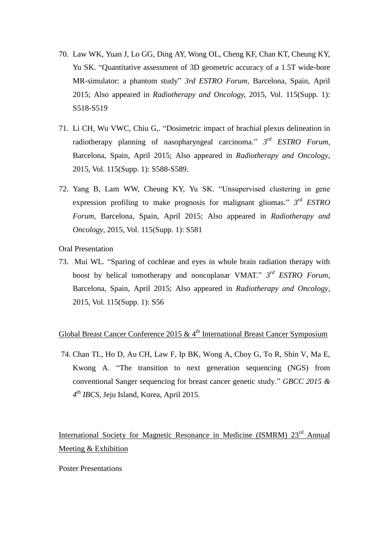- 70. Law WK, Yuan J, Lo GG, Ding AY, Wong OL, Cheng KF, Chan KT, Cheung KY, Yu SK. "Quantitative assessment of 3D geometric accuracy of a 1.5T wide-bore MR-simulator: a phantom study" *3rd ESTRO Forum,* Barcelona, Spain, April 2015; Also appeared in *Radiotherapy and Oncology,* 2015, Vol. 115(Supp. 1): S518-S519
- 71. Li CH, Wu VWC, Chiu G,. "Dosimetric impact of brachial plexus delineation in radiotherapy planning of nasopharyngeal carcinoma." *3 rd ESTRO Forum,*  Barcelona, Spain, April 2015; Also appeared in *Radiotherapy and Oncology*, 2015, Vol. 115(Supp. 1): S588-S589.
- 72. Yang B, Lam WW, Cheung KY, Yu SK. "Unsupervised clustering in gene expression profiling to make prognosis for malignant gliomas." *3 rd ESTRO Forum,* Barcelona, Spain, April 2015; Also appeared in *Radiotherapy and Oncology*, 2015, Vol. 115(Supp. 1): S581

Oral Presentation

73. Mui WL. "Sparing of cochleae and eyes in whole brain radiation therapy with boost by helical tomotherapy and noncoplanar VMAT." *3 rd ESTRO Forum,*  Barcelona, Spain, April 2015; Also appeared in *Radiotherapy and Oncology*, 2015, Vol. 115(Supp. 1): S56

## Global Breast Cancer Conference 2015  $& 4<sup>th</sup>$  International Breast Cancer Symposium

74. Chan TL, Ho D, Au CH, Law F, Ip BK, Wong A, Choy G, To R, Shin V, Ma E, Kwong A. "The transition to next generation sequencing (NGS) from conventional Sanger sequencing for breast cancer genetic study." *GBCC 2015 & 4 th IBCS*, Jeju Island, Korea, April 2015.

International Society for Magnetic Resonance in Medicine (ISMRM) 23<sup>rd</sup> Annual Meeting & Exhibition

#### Poster Presentations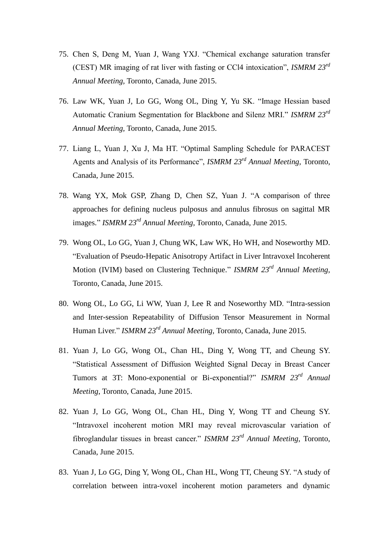- 75. Chen S, Deng M, Yuan J, Wang YXJ. "Chemical exchange saturation transfer (CEST) MR imaging of rat liver with fasting or CCl4 intoxication", *ISMRM 23rd Annual Meeting,* Toronto, Canada, June 2015.
- 76. Law WK, Yuan J, Lo GG, Wong OL, Ding Y, Yu SK. "Image Hessian based Automatic Cranium Segmentation for Blackbone and Silenz MRI." *ISMRM 23rd Annual Meeting,* Toronto, Canada, June 2015.
- 77. Liang L, Yuan J, Xu J, Ma HT. "Optimal Sampling Schedule for PARACEST Agents and Analysis of its Performance", *ISMRM 23rd Annual Meeting,* Toronto, Canada, June 2015.
- 78. Wang YX, Mok GSP, Zhang D, Chen SZ, Yuan J. "A comparison of three approaches for defining nucleus pulposus and annulus fibrosus on sagittal MR images." *ISMRM 23rd Annual Meeting,* Toronto, Canada, June 2015.
- 79. Wong OL, Lo GG, Yuan J, Chung WK, Law WK, Ho WH, and Noseworthy MD. "Evaluation of Pseudo-Hepatic Anisotropy Artifact in Liver Intravoxel Incoherent Motion (IVIM) based on Clustering Technique." *ISMRM 23rd Annual Meeting,*  Toronto, Canada, June 2015.
- 80. Wong OL, Lo GG, Li WW, Yuan J, Lee R and Noseworthy MD. "Intra-session and Inter-session Repeatability of Diffusion Tensor Measurement in Normal Human Liver." *ISMRM 23rd Annual Meeting,* Toronto, Canada, June 2015.
- 81. Yuan J, Lo GG, Wong OL, Chan HL, Ding Y, Wong TT, and Cheung SY. "Statistical Assessment of Diffusion Weighted Signal Decay in Breast Cancer Tumors at 3T: Mono-exponential or Bi-exponential?" *ISMRM 23rd Annual Meeting*, Toronto, Canada, June 2015.
- 82. Yuan J, Lo GG, Wong OL, Chan HL, Ding Y, Wong TT and Cheung SY. "Intravoxel incoherent motion MRI may reveal microvascular variation of fibroglandular tissues in breast cancer." *ISMRM 23rd Annual Meeting*, Toronto, Canada, June 2015.
- 83. Yuan J, Lo GG, Ding Y, Wong OL, Chan HL, Wong TT, Cheung SY. "A study of correlation between intra-voxel incoherent motion parameters and dynamic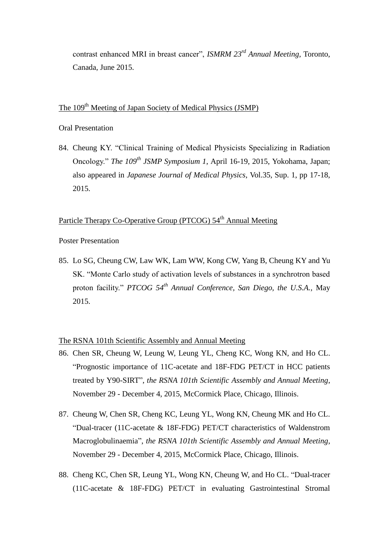contrast enhanced MRI in breast cancer", *ISMRM 23rd Annual Meeting*, Toronto, Canada, June 2015.

# The 109<sup>th</sup> Meeting of Japan Society of Medical Physics (JSMP)

#### Oral Presentation

84. Cheung KY. "Clinical Training of Medical Physicists Specializing in Radiation Oncology." *The 109th JSMP Symposium 1*, April 16-19, 2015, Yokohama, Japan; also appeared in *Japanese Journal of Medical Physics*, Vol.35, Sup. 1, pp 17-18, 2015.

## Particle Therapy Co-Operative Group (PTCOG) 54<sup>th</sup> Annual Meeting

Poster Presentation

85. Lo SG, Cheung CW, Law WK, Lam WW, Kong CW, Yang B, Cheung KY and Yu SK. "Monte Carlo study of activation levels of substances in a synchrotron based proton facility." *PTCOG 54th Annual Conference, San Diego, the U.S.A.,* May 2015.

#### The RSNA 101th Scientific Assembly and Annual Meeting

- 86. Chen SR, Cheung W, Leung W, Leung YL, Cheng KC, Wong KN, and Ho CL. "Prognostic importance of 11C-acetate and 18F-FDG PET/CT in HCC patients treated by Y90-SIRT", *the RSNA 101th Scientific Assembly and Annual Meeting*, November 29 - December 4, 2015, McCormick Place, Chicago, Illinois.
- 87. Cheung W, Chen SR, Cheng KC, Leung YL, Wong KN, Cheung MK and Ho CL. "Dual-tracer (11C-acetate & 18F-FDG) PET/CT characteristics of Waldenstrom Macroglobulinaemia", *the RSNA 101th Scientific Assembly and Annual Meeting*, November 29 - December 4, 2015, McCormick Place, Chicago, Illinois.
- 88. Cheng KC, Chen SR, Leung YL, Wong KN, Cheung W, and Ho CL. "Dual-tracer (11C-acetate & 18F-FDG) PET/CT in evaluating Gastrointestinal Stromal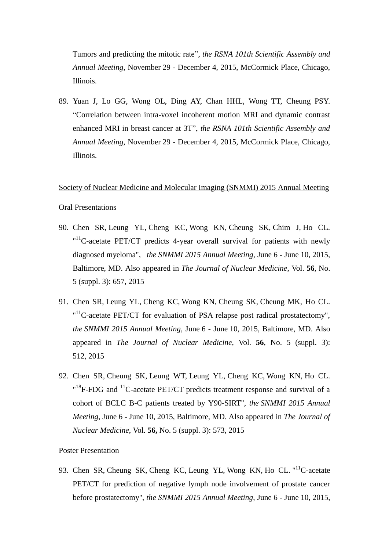Tumors and predicting the mitotic rate", *the RSNA 101th Scientific Assembly and Annual Meeting*, November 29 - December 4, 2015, McCormick Place, Chicago, Illinois.

89. Yuan J, Lo GG, Wong OL, Ding AY, Chan HHL, Wong TT, Cheung PSY. "Correlation between intra-voxel incoherent motion MRI and dynamic contrast enhanced MRI in breast cancer at 3T", *the RSNA 101th Scientific Assembly and Annual Meeting*, November 29 - December 4, 2015, McCormick Place, Chicago, Illinois.

#### Society of Nuclear Medicine and Molecular Imaging (SNMMI) 2015 Annual Meeting

#### Oral Presentations

- 90. Chen SR, Leung YL, Cheng KC, Wong KN, Cheung SK, Chim J, Ho CL.  $11^1$ C-acetate PET/CT predicts 4-year overall survival for patients with newly diagnosed myeloma", *the SNMMI 2015 Annual Meeting*, June 6 - June 10, 2015, Baltimore, MD. Also appeared in *The Journal of Nuclear Medicine*, Vol. **56**, No. 5 (suppl. 3): 657, 2015
- 91. Chen SR, Leung YL, Cheng KC, Wong KN, Cheung SK, Cheung MK, Ho CL.  $11^1$ C-acetate PET/CT for evaluation of PSA relapse post radical prostatectomy", *the SNMMI 2015 Annual Meeting*, June 6 - June 10, 2015, Baltimore, MD. Also appeared in *The Journal of Nuclear Medicine*, Vol. **56**, No. 5 (suppl. 3): 512, 2015
- 92. Chen SR, Cheung SK, Leung WT, Leung YL, Cheng KC, Wong KN, Ho CL.  $18F-FDG$  and <sup>11</sup>C-acetate PET/CT predicts treatment response and survival of a cohort of BCLC B-C patients treated by Y90-SIRT", *the SNMMI 2015 Annual Meeting*, June 6 - June 10, 2015, Baltimore, MD. Also appeared in *The Journal of Nuclear Medicine*, Vol. **56,** No. 5 (suppl. 3): 573, 2015

#### Poster Presentation

93. Chen SR, Cheung SK, Cheng KC, Leung YL, Wong KN, Ho CL. "<sup>11</sup>C-acetate PET/CT for prediction of negative lymph node involvement of prostate cancer before prostatectomy", *the SNMMI 2015 Annual Meeting*, June 6 - June 10, 2015,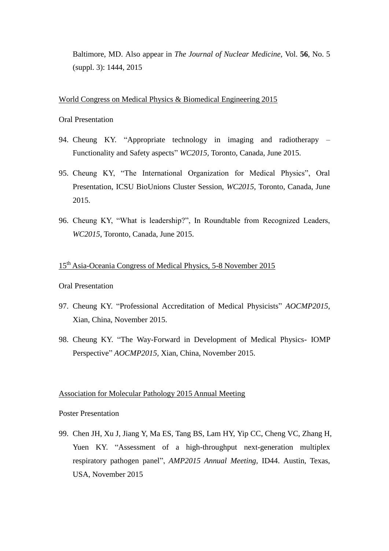Baltimore, MD. Also appear in *The Journal of Nuclear Medicine*, Vol. **56**, No. 5 (suppl. 3): 1444, 2015

World Congress on Medical Physics & Biomedical Engineering 2015

Oral Presentation

- 94. Cheung KY. "Appropriate technology in imaging and radiotherapy Functionality and Safety aspects" *WC2015,* Toronto, Canada, June 2015.
- 95. Cheung KY, "The International Organization for Medical Physics", Oral Presentation, ICSU BioUnions Cluster Session, *WC2015*, Toronto, Canada, June 2015.
- 96. Cheung KY, "What is leadership?", In Roundtable from Recognized Leaders, *WC2015*, Toronto, Canada, June 2015.

## 15<sup>th</sup> Asia-Oceania Congress of Medical Physics, 5-8 November 2015

Oral Presentation

- 97. Cheung KY. "Professional Accreditation of Medical Physicists" *AOCMP2015,*  Xian, China, November 2015.
- 98. Cheung KY. "The Way-Forward in Development of Medical Physics- IOMP Perspective" *AOCMP2015,* Xian, China, November 2015.

#### Association for Molecular Pathology 2015 Annual Meeting

#### Poster Presentation

99. Chen JH, Xu J, Jiang Y, Ma ES, Tang BS, Lam HY, Yip CC, Cheng VC, Zhang H, Yuen KY. "Assessment of a high-throughput next-generation multiplex respiratory pathogen panel", *AMP2015 Annual Meeting,* ID44. Austin, Texas, USA, November 2015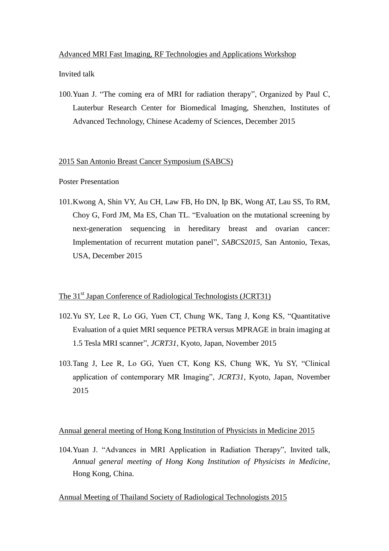#### Advanced MRI Fast Imaging, RF Technologies and Applications Workshop

Invited talk

100.Yuan J. "The coming era of MRI for radiation therapy", Organized by Paul C, Lauterbur Research Center for Biomedical Imaging, Shenzhen, Institutes of Advanced Technology, Chinese Academy of Sciences, December 2015

#### 2015 San Antonio Breast Cancer Symposium (SABCS)

Poster Presentation

101.Kwong A, Shin VY, Au CH, Law FB, Ho DN, Ip BK, Wong AT, Lau SS, To RM, Choy G, Ford JM, Ma ES, Chan TL. "Evaluation on the mutational screening by next-generation sequencing in hereditary breast and ovarian cancer: Implementation of recurrent mutation panel", *SABCS2015,* San Antonio, Texas, USA, December 2015

#### The 31<sup>st</sup> Japan Conference of Radiological Technologists (JCRT31)

- 102.Yu SY, Lee R, Lo GG, Yuen CT, Chung WK, Tang J, Kong KS, "Quantitative Evaluation of a quiet MRI sequence PETRA versus MPRAGE in brain imaging at 1.5 Tesla MRI scanner", *JCRT31,* Kyoto, Japan, November 2015
- 103.Tang J, Lee R, Lo GG, Yuen CT, Kong KS, Chung WK, Yu SY, "Clinical application of contemporary MR Imaging", *JCRT31,* Kyoto, Japan, November 2015

#### Annual general meeting of Hong Kong Institution of Physicists in Medicine 2015

104.Yuan J. "Advances in MRI Application in Radiation Therapy", Invited talk, *Annual general meeting of Hong Kong Institution of Physicists in Medicine*, Hong Kong, China.

Annual Meeting of Thailand Society of Radiological Technologists 2015